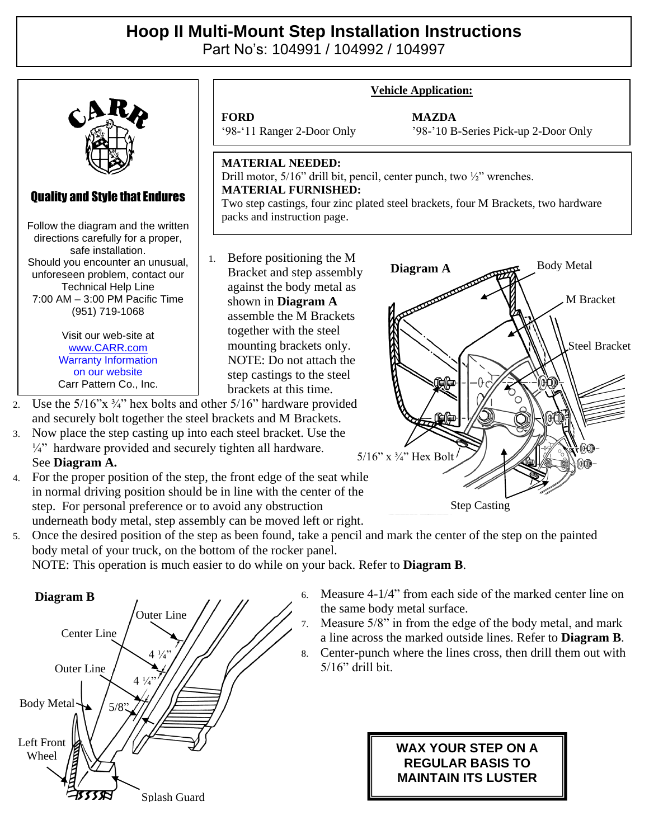## **Hoop II Multi-Mount Step Installation Instructions**

Part No's: 104991 / 104992 / 104997



See **Diagram A.**

4. For the proper position of the step, the front edge of the seat while in normal driving position should be in line with the center of the step. For personal preference or to avoid any obstruction underneath body metal, step assembly can be moved left or right.

5. Once the desired position of the step as been found, take a pencil and mark the center of the step on the painted body metal of your truck, on the bottom of the rocker panel.

NOTE: This operation is much easier to do while on your back. Refer to **Diagram B**.



6. Measure 4-1/4" from each side of the marked center line on the same body metal surface.

Step Casting

- 7. Measure 5/8" in from the edge of the body metal, and mark a line across the marked outside lines. Refer to **Diagram B**.
- 8. Center-punch where the lines cross, then drill them out with 5/16" drill bit.

## **WAX YOUR STEP ON A REGULAR BASIS TO MAINTAIN ITS LUSTER**